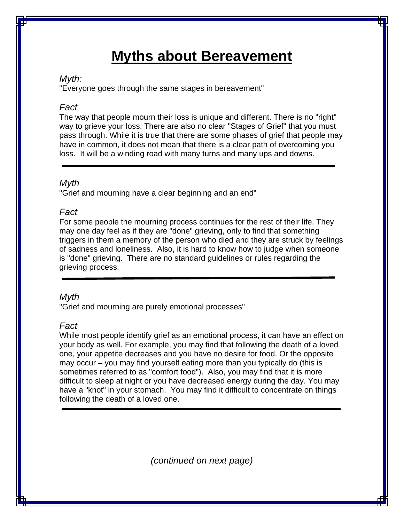# **Myths about Bereavement**

## *Myth:*

"Everyone goes through the same stages in bereavement"

# *Fact*

The way that people mourn their loss is unique and different. There is no "right" way to grieve your loss. There are also no clear "Stages of Grief" that you must pass through. While it is true that there are some phases of grief that people may have in common, it does not mean that there is a clear path of overcoming you loss. It will be a winding road with many turns and many ups and downs.

# *Myth*

"Grief and mourning have a clear beginning and an end"

# *Fact*

For some people the mourning process continues for the rest of their life. They may one day feel as if they are "done" grieving, only to find that something triggers in them a memory of the person who died and they are struck by feelings of sadness and loneliness. Also, it is hard to know how to judge when someone is "done" grieving. There are no standard guidelines or rules regarding the grieving process.

# *Myth*

"Grief and mourning are purely emotional processes"

# *Fact*

While most people identify grief as an emotional process, it can have an effect on your body as well. For example, you may find that following the death of a loved one, your appetite decreases and you have no desire for food. Or the opposite may occur – you may find yourself eating more than you typically do (this is sometimes referred to as "comfort food"). Also, you may find that it is more difficult to sleep at night or you have decreased energy during the day. You may have a "knot" in your stomach. You may find it difficult to concentrate on things following the death of a loved one.

*(continued on next page)*